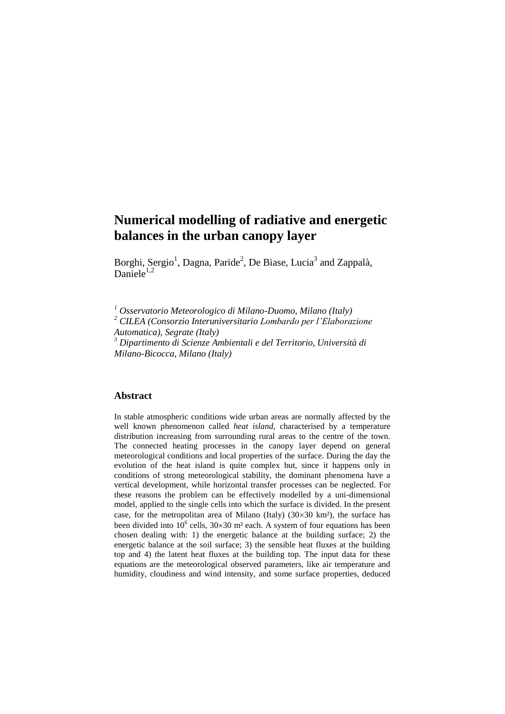# **Numerical modelling of radiative and energetic balances in the urban canopy layer**

Borghi, Sergio<sup>1</sup>, Dagna, Paride<sup>2</sup>, De Biase, Lucia<sup>3</sup> and Zappalà, Daniele $1,2$ 

*<sup>1</sup> Osservatorio Meteorologico di Milano-Duomo, Milano (Italy)*

*<sup>2</sup> CILEA (Consorzio Interuniversitario Lombardo per l'Elaborazione Automatica), Segrate (Italy)*

*<sup>3</sup> Dipartimento di Scienze Ambientali e del Territorio, Università di Milano-Bicocca, Milano (Italy)*

## **Abstract**

In stable atmospheric conditions wide urban areas are normally affected by the well known phenomenon called *heat island*, characterised by a temperature distribution increasing from surrounding rural areas to the centre of the town. The connected heating processes in the canopy layer depend on general meteorological conditions and local properties of the surface. During the day the evolution of the heat island is quite complex but, since it happens only in conditions of strong meteorological stability, the dominant phenomena have a vertical development, while horizontal transfer processes can be neglected. For these reasons the problem can be effectively modelled by a uni-dimensional model, applied to the single cells into which the surface is divided. In the present case, for the metropolitan area of Milano (Italy)  $(30\times30 \text{ km}^2)$ , the surface has been divided into  $10^6$  cells,  $30 \times 30$  m<sup>2</sup> each. A system of four equations has been chosen dealing with: 1) the energetic balance at the building surface; 2) the energetic balance at the soil surface; 3) the sensible heat fluxes at the building top and 4) the latent heat fluxes at the building top. The input data for these equations are the meteorological observed parameters, like air temperature and humidity, cloudiness and wind intensity, and some surface properties, deduced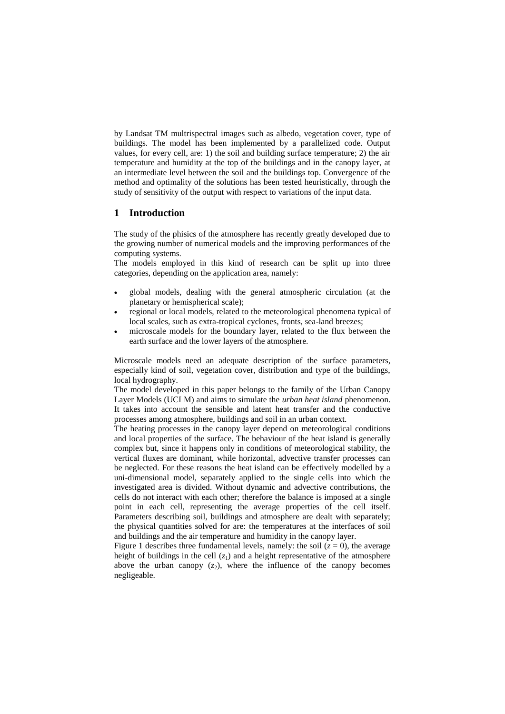by Landsat TM multrispectral images such as albedo, vegetation cover, type of buildings. The model has been implemented by a parallelized code. Output values, for every cell, are: 1) the soil and building surface temperature; 2) the air temperature and humidity at the top of the buildings and in the canopy layer, at an intermediate level between the soil and the buildings top. Convergence of the method and optimality of the solutions has been tested heuristically, through the study of sensitivity of the output with respect to variations of the input data.

## **1 Introduction**

The study of the phisics of the atmosphere has recently greatly developed due to the growing number of numerical models and the improving performances of the computing systems.

The models employed in this kind of research can be split up into three categories, depending on the application area, namely:

- global models, dealing with the general atmospheric circulation (at the planetary or hemispherical scale);
- regional or local models, related to the meteorological phenomena typical of local scales, such as extra-tropical cyclones, fronts, sea-land breezes;
- microscale models for the boundary layer, related to the flux between the earth surface and the lower layers of the atmosphere.

Microscale models need an adequate description of the surface parameters, especially kind of soil, vegetation cover, distribution and type of the buildings, local hydrography.

The model developed in this paper belongs to the family of the Urban Canopy Layer Models (UCLM) and aims to simulate the *urban heat island* phenomenon. It takes into account the sensible and latent heat transfer and the conductive processes among atmosphere, buildings and soil in an urban context.

The heating processes in the canopy layer depend on meteorological conditions and local properties of the surface. The behaviour of the heat island is generally complex but, since it happens only in conditions of meteorological stability, the vertical fluxes are dominant, while horizontal, advective transfer processes can be neglected. For these reasons the heat island can be effectively modelled by a uni-dimensional model, separately applied to the single cells into which the investigated area is divided. Without dynamic and advective contributions, the cells do not interact with each other; therefore the balance is imposed at a single point in each cell, representing the average properties of the cell itself. Parameters describing soil, buildings and atmosphere are dealt with separately; the physical quantities solved for are: the temperatures at the interfaces of soil and buildings and the air temperature and humidity in the canopy layer.

Figure 1 describes three fundamental levels, namely: the soil  $(z = 0)$ , the average height of buildings in the cell  $(z_1)$  and a height representative of the atmosphere above the urban canopy  $(z_2)$ , where the influence of the canopy becomes negligeable.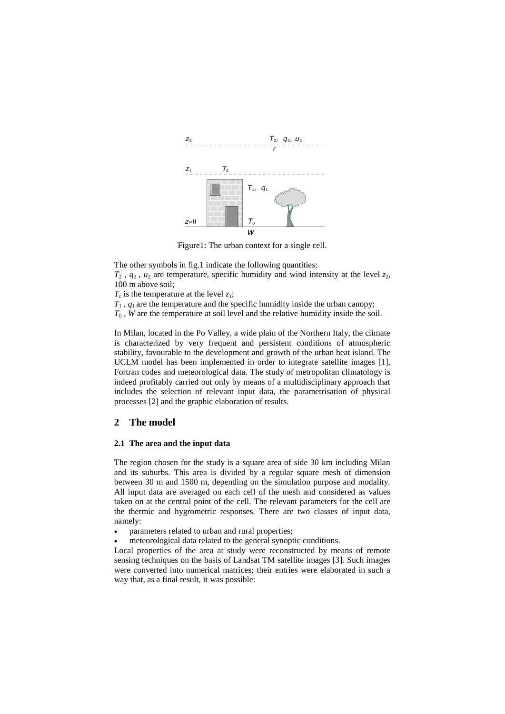

Figure1: The urban context for a single cell.

The other symbols in fig.1 indicate the following quantities:

 $T_2$ ,  $q_2$ ,  $u_2$  are temperature, specific humidity and wind intensity at the level  $z_2$ , 100 m above soil;

 $T_c$  is the temperature at the level  $z_1$ ;

 $T_1$ ,  $q_1$  are the temperature and the specific humidity inside the urban canopy;

 $T_0$ , *W* are the temperature at soil level and the relative humidity inside the soil.

In Milan, located in the Po Valley, a wide plain of the Northern Italy, the climate is characterized by very frequent and persistent conditions of atmospheric stability, favourable to the development and growth of the urban heat island. The UCLM model has been implemented in order to integrate satellite images [1], Fortran codes and meteorological data. The study of metropolitan climatology is indeed profitably carried out only by means of a multidisciplinary approach that includes the selection of relevant input data, the parametrisation of physical processes [2] and the graphic elaboration of results.

#### **2 The model**

#### **2.1 The area and the input data**

The region chosen for the study is a square area of side 30 km including Milan and its suburbs. This area is divided by a regular square mesh of dimension between 30 m and 1500 m, depending on the simulation purpose and modality. All input data are averaged on each cell of the mesh and considered as values taken on at the central point of the cell. The relevant parameters for the cell are the thermic and hygrometric responses. There are two classes of input data, namely:

- parameters related to urban and rural properties;
- meteorological data related to the general synoptic conditions.

Local properties of the area at study were reconstructed by means of remote sensing techniques on the basis of Landsat TM satellite images [3]. Such images were converted into numerical matrices; their entries were elaborated in such a way that, as a final result, it was possible: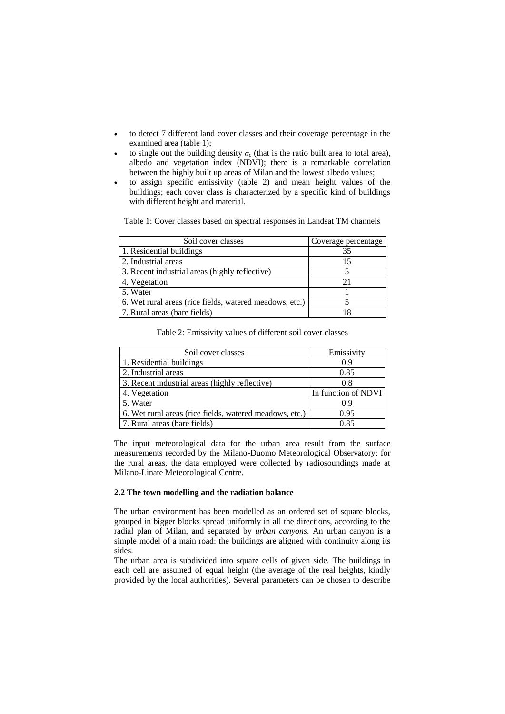- to detect 7 different land cover classes and their coverage percentage in the examined area (table 1);
- to single out the building density  $\sigma_c$  (that is the ratio built area to total area), albedo and vegetation index (NDVI); there is a remarkable correlation between the highly built up areas of Milan and the lowest albedo values;
- to assign specific emissivity (table 2) and mean height values of the buildings; each cover class is characterized by a specific kind of buildings with different height and material.

Table 1: Cover classes based on spectral responses in Landsat TM channels

| Soil cover classes                                      | Coverage percentage |  |  |
|---------------------------------------------------------|---------------------|--|--|
| 1. Residential buildings                                | 35                  |  |  |
| 2. Industrial areas                                     | 15                  |  |  |
| 3. Recent industrial areas (highly reflective)          |                     |  |  |
| 4. Vegetation                                           |                     |  |  |
| 5. Water                                                |                     |  |  |
| 6. Wet rural areas (rice fields, watered meadows, etc.) |                     |  |  |
| 7. Rural areas (bare fields)                            | 18                  |  |  |

#### Table 2: Emissivity values of different soil cover classes

| Soil cover classes                                      | Emissivity          |  |  |
|---------------------------------------------------------|---------------------|--|--|
| 1. Residential buildings                                | 0.9                 |  |  |
| 2. Industrial areas                                     | 0.85                |  |  |
| 3. Recent industrial areas (highly reflective)          | 0.8                 |  |  |
| 4. Vegetation                                           | In function of NDVI |  |  |
| 5. Water                                                | 0.9                 |  |  |
| 6. Wet rural areas (rice fields, watered meadows, etc.) | 0.95                |  |  |
| 7. Rural areas (bare fields)                            | 0.85                |  |  |

The input meteorological data for the urban area result from the surface measurements recorded by the Milano-Duomo Meteorological Observatory; for the rural areas, the data employed were collected by radiosoundings made at Milano-Linate Meteorological Centre.

#### **2.2 The town modelling and the radiation balance**

The urban environment has been modelled as an ordered set of square blocks, grouped in bigger blocks spread uniformly in all the directions, according to the radial plan of Milan, and separated by *urban canyons*. An urban canyon is a simple model of a main road: the buildings are aligned with continuity along its sides.

The urban area is subdivided into square cells of given side. The buildings in each cell are assumed of equal height (the average of the real heights, kindly provided by the local authorities). Several parameters can be chosen to describe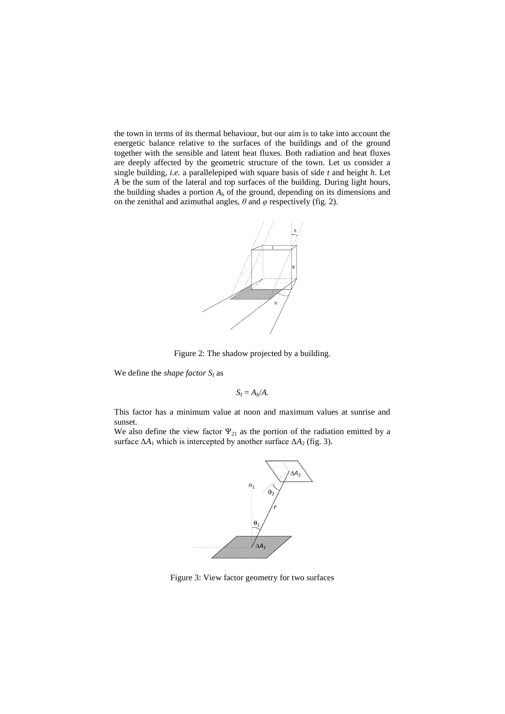the town in terms of its thermal behaviour, but our aim is to take into account the energetic balance relative to the surfaces of the buildings and of the ground together with the sensible and latent heat fluxes. Both radiation and heat fluxes are deeply affected by the geometric structure of the town. Let us consider a single building, *i.e.* a parallelepiped with square basis of side *t* and height *h*. Let *A* be the sum of the lateral and top surfaces of the building. During light hours, the building shades a portion  $A_h$  of the ground, depending on its dimensions and on the zenithal and azimuthal angles,  $\theta$  and  $\varphi$  respectively (fig. 2).



Figure 2: The shadow projected by a building.

We define the *shape factor*  $S_f$  as

$$
S_{\rm f}=A_{\rm h}/A.
$$

This factor has a minimum value at noon and maximum values at sunrise and sunset.

We also define the view factor  $\Psi_{21}$  as the portion of the radiation emitted by a surface  $\Delta A_1$  which is intercepted by another surface  $\Delta A_2$  (fig. 3).



Figure 3: View factor geometry for two surfaces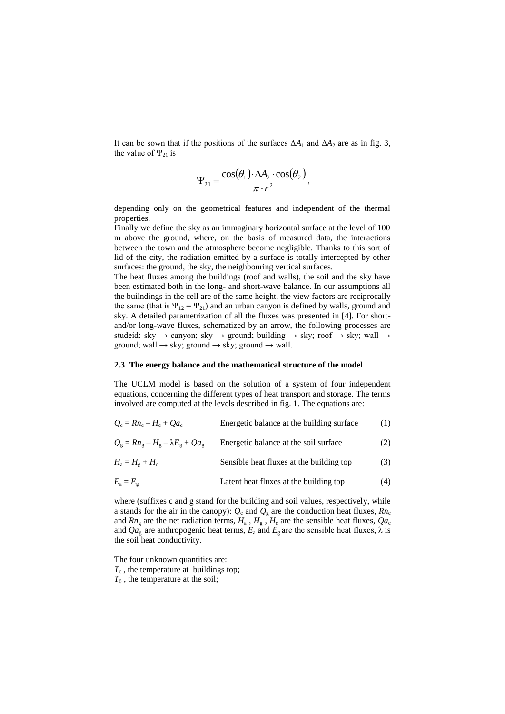It can be sown that if the positions of the surfaces  $\Delta A_1$  and  $\Delta A_2$  are as in fig. 3, the value of  $\Psi_{21}$  is

$$
\Psi_{21} = \frac{\cos(\theta_1) \cdot \Delta A_2 \cdot \cos(\theta_2)}{\pi \cdot r^2},
$$

depending only on the geometrical features and independent of the thermal properties.

Finally we define the sky as an immaginary horizontal surface at the level of 100 m above the ground, where, on the basis of measured data, the interactions between the town and the atmosphere become negligible. Thanks to this sort of lid of the city, the radiation emitted by a surface is totally intercepted by other surfaces: the ground, the sky, the neighbouring vertical surfaces.

The heat fluxes among the buildings (roof and walls), the soil and the sky have been estimated both in the long- and short-wave balance. In our assumptions all the builndings in the cell are of the same height, the view factors are reciprocally the same (that is  $\Psi_{12} = \Psi_{21}$ ) and an urban canyon is defined by walls, ground and sky. A detailed parametrization of all the fluxes was presented in [4]. For shortand/or long-wave fluxes, schematized by an arrow, the following processes are studeid: sky  $\rightarrow$  canyon; sky  $\rightarrow$  ground; building  $\rightarrow$  sky; roof  $\rightarrow$  sky; wall  $\rightarrow$ ground; wall  $\rightarrow$  sky; ground  $\rightarrow$  sky; ground  $\rightarrow$  wall.

#### **2.3 The energy balance and the mathematical structure of the model**

The UCLM model is based on the solution of a system of four independent equations, concerning the different types of heat transport and storage. The terms involved are computed at the levels described in fig. 1. The equations are:

| $Q_c = R n_c - H_c + O a_c$                                             | Energetic balance at the building surface | (1) |
|-------------------------------------------------------------------------|-------------------------------------------|-----|
| $Q_{\rm o} = R n_{\rm o} - H_{\rm o} - \lambda E_{\rm o} + Q a_{\rm o}$ | Energetic balance at the soil surface     | (2) |
| $H_{\rm a}=H_{\rm g}+H_{\rm c}$                                         | Sensible heat fluxes at the building top  | (3) |
| $E_a = E_g$                                                             | Latent heat fluxes at the building top    | (4) |

where (suffixes c and g stand for the building and soil values, respectively, while a stands for the air in the canopy):  $Q_c$  and  $Q_g$  are the conduction heat fluxes,  $Rn_c$ and  $Rn<sub>g</sub>$  are the net radiation terms,  $H<sub>a</sub>$ ,  $H<sub>g</sub>$ ,  $H<sub>c</sub>$  are the sensible heat fluxes,  $Qa<sub>c</sub>$ and  $Qa_g$  are anthropogenic heat terms,  $E_a$  and  $E_g$  are the sensible heat fluxes,  $\lambda$  is the soil heat conductivity.

The four unknown quantities are:  $T_c$ , the temperature at buildings top;  $T_0$ , the temperature at the soil;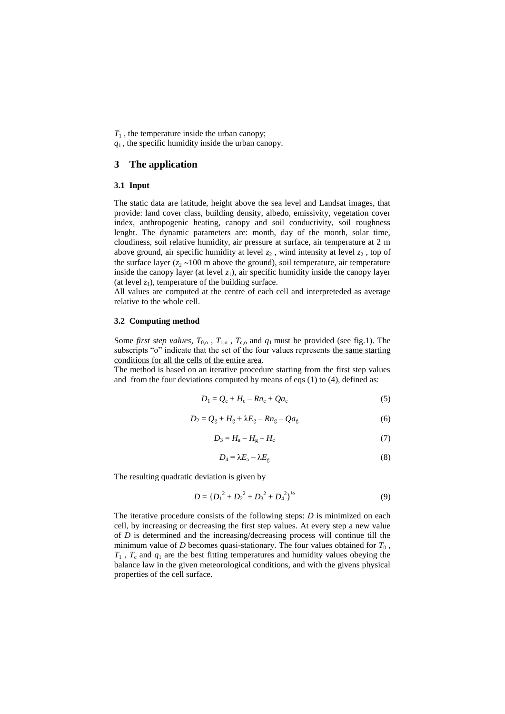$T_1$ , the temperature inside the urban canopy;

*q*1 , the specific humidity inside the urban canopy.

## **3 The application**

#### **3.1 Input**

The static data are latitude, height above the sea level and Landsat images, that provide: land cover class, building density, albedo, emissivity, vegetation cover index, anthropogenic heating, canopy and soil conductivity, soil roughness lenght. The dynamic parameters are: month, day of the month, solar time, cloudiness, soil relative humidity, air pressure at surface, air temperature at 2 m above ground, air specific humidity at level *z*<sup>2</sup> , wind intensity at level *z*<sup>2</sup> , top of the surface layer  $(z_2 \sim 100 \text{ m}$  above the ground), soil temperature, air temperature inside the canopy layer (at level  $z_1$ ), air specific humidity inside the canopy layer (at level  $z_1$ ), temperature of the building surface.

All values are computed at the centre of each cell and interpreteded as average relative to the whole cell.

## **3.2 Computing method**

Some *first step values*,  $T_{0,0}$ ,  $T_{1,0}$ ,  $T_{c,0}$  and  $q_1$  must be provided (see fig.1). The subscripts "o" indicate that the set of the four values represents the same starting conditions for all the cells of the entire area.

The method is based on an iterative procedure starting from the first step values and from the four deviations computed by means of eqs (1) to (4), defined as:

$$
D_1 = Q_c + H_c - R n_c + Q a_c \tag{5}
$$

$$
D_2 = Q_g + H_g + \lambda E_g - R n_g - Q a_g \tag{6}
$$

$$
D_3 = H_a - H_g - H_c \tag{7}
$$

$$
D_4 = \lambda E_a - \lambda E_g \tag{8}
$$

The resulting quadratic deviation is given by

$$
D = \{D_1^2 + D_2^2 + D_3^2 + D_4^2\}^{1/2}
$$
 (9)

The iterative procedure consists of the following steps: *D* is minimized on each cell, by increasing or decreasing the first step values. At every step a new value of *D* is determined and the increasing/decreasing process will continue till the minimum value of *D* becomes quasi-stationary. The four values obtained for  $T_0$ ,  $T_1$ ,  $T_c$  and  $q_1$  are the best fitting temperatures and humidity values obeying the balance law in the given meteorological conditions, and with the givens physical properties of the cell surface.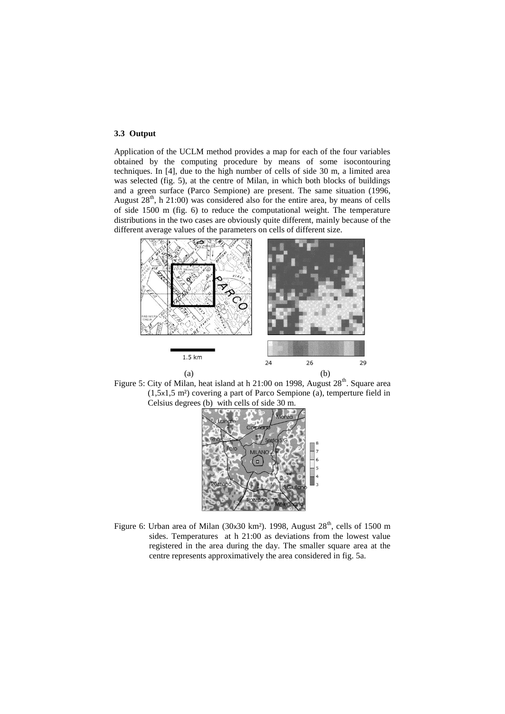## **3.3 Output**

Application of the UCLM method provides a map for each of the four variables obtained by the computing procedure by means of some isocontouring techniques. In [4], due to the high number of cells of side 30 m, a limited area was selected (fig. 5), at the centre of Milan, in which both blocks of buildings and a green surface (Parco Sempione) are present. The same situation (1996, August  $28<sup>th</sup>$ , h 21:00) was considered also for the entire area, by means of cells of side 1500 m (fig. 6) to reduce the computational weight. The temperature distributions in the two cases are obviously quite different, mainly because of the different average values of the parameters on cells of different size.







Figure 6: Urban area of Milan (30x30 km<sup>2</sup>), 1998, August  $28<sup>th</sup>$ , cells of 1500 m sides. Temperatures at h 21:00 as deviations from the lowest value registered in the area during the day. The smaller square area at the centre represents approximatively the area considered in fig. 5a.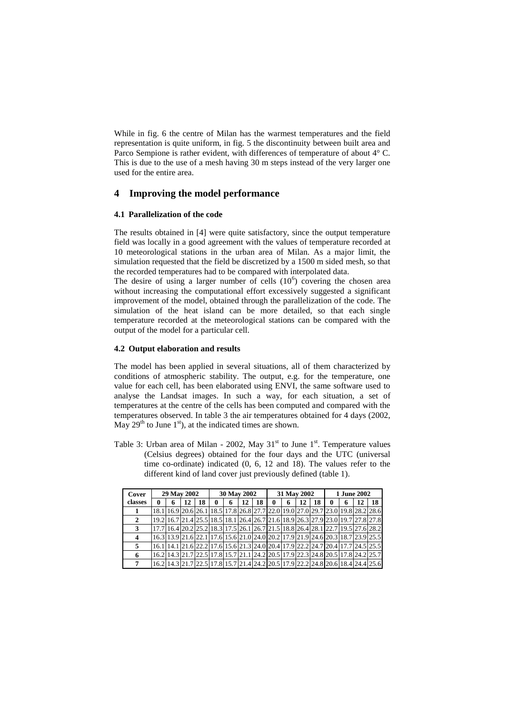While in fig. 6 the centre of Milan has the warmest temperatures and the field representation is quite uniform, in fig. 5 the discontinuity between built area and Parco Sempione is rather evident, with differences of temperature of about 4° C. This is due to the use of a mesh having 30 m steps instead of the very larger one used for the entire area.

## **4 Improving the model performance**

#### **4.1 Parallelization of the code**

The results obtained in [4] were quite satisfactory, since the output temperature field was locally in a good agreement with the values of temperature recorded at 10 meteorological stations in the urban area of Milan. As a major limit, the simulation requested that the field be discretized by a 1500 m sided mesh, so that the recorded temperatures had to be compared with interpolated data.

The desire of using a larger number of cells  $(10^6)$  covering the chosen area without increasing the computational effort excessively suggested a significant improvement of the model, obtained through the parallelization of the code. The simulation of the heat island can be more detailed, so that each single temperature recorded at the meteorological stations can be compared with the output of the model for a particular cell.

#### **4.2 Output elaboration and results**

The model has been applied in several situations, all of them characterized by conditions of atmospheric stability. The output, e.g. for the temperature, one value for each cell, has been elaborated using ENVI, the same software used to analyse the Landsat images. In such a way, for each situation, a set of temperatures at the centre of the cells has been computed and compared with the temperatures observed. In table 3 the air temperatures obtained for 4 days (2002, May  $29<sup>th</sup>$  to June  $1<sup>st</sup>$ ), at the indicated times are shown.

Table 3: Urban area of Milan - 2002, May  $31<sup>st</sup>$  to June  $1<sup>st</sup>$ . Temperature values (Celsius degrees) obtained for the four days and the UTC (universal time co-ordinate) indicated (0, 6, 12 and 18). The values refer to the different kind of land cover just previously defined (table 1).

| Cover                   | 29 May 2002 |   |                                                                                                               |    | 30 May 2002 |   |    | 31 May 2002 |   |   | <b>1 June 2002</b> |    |             |   |    |    |
|-------------------------|-------------|---|---------------------------------------------------------------------------------------------------------------|----|-------------|---|----|-------------|---|---|--------------------|----|-------------|---|----|----|
| classes                 | 0           | 6 | 12                                                                                                            | 18 | 0           | 6 | 12 | 18          | 0 | 6 | 12                 | 18 | $\mathbf 0$ | 6 | 12 | 18 |
|                         |             |   | 18.1   16.9   20.6   26.1   18.5   17.8   26.8   27.7   22.0   19.0   27.0   29.7   23.0   19.8   28.2   28.6 |    |             |   |    |             |   |   |                    |    |             |   |    |    |
| $\mathbf{2}$            |             |   | 19.2 16.7 21.4 25.5 18.5 18.1 26.4 26.7 21.6 18.9 26.3 27.9 23.0 19.7 27.8 27.8                               |    |             |   |    |             |   |   |                    |    |             |   |    |    |
| 3                       |             |   | 17.7 16.4 20.2 25.2 18.3 17.5 26.1 26.7 21.5 18.8 26.4 28.1 22.7 19.5 27.6 28.2                               |    |             |   |    |             |   |   |                    |    |             |   |    |    |
| $\overline{\mathbf{4}}$ |             |   | 16.3 13.9 21.6 22.1 17.6 15.6 21.0 24.0 20.2 17.9 21.9 24.6 20.3 18.7 23.9 25.5                               |    |             |   |    |             |   |   |                    |    |             |   |    |    |
| 5                       |             |   | 16.1 14.1 21.6 22.2 17.6 15.6 21.3 24.0 20.4 17.9 22.2 24.7 20.4 17.7 24.5 25.5                               |    |             |   |    |             |   |   |                    |    |             |   |    |    |
| 6                       |             |   | 16.2 14.3 21.7 22.5 17.8 15.7 21.1 24.2 20.5 17.9 22.3 24.8 20.5 17.8 24.2 25.7                               |    |             |   |    |             |   |   |                    |    |             |   |    |    |
| 7                       |             |   | 16.2 14.3 21.7 22.5 17.8 15.7 21.4 24.2 20.5 17.9 22.2 24.8 20.6 18.4 24.4 25.6                               |    |             |   |    |             |   |   |                    |    |             |   |    |    |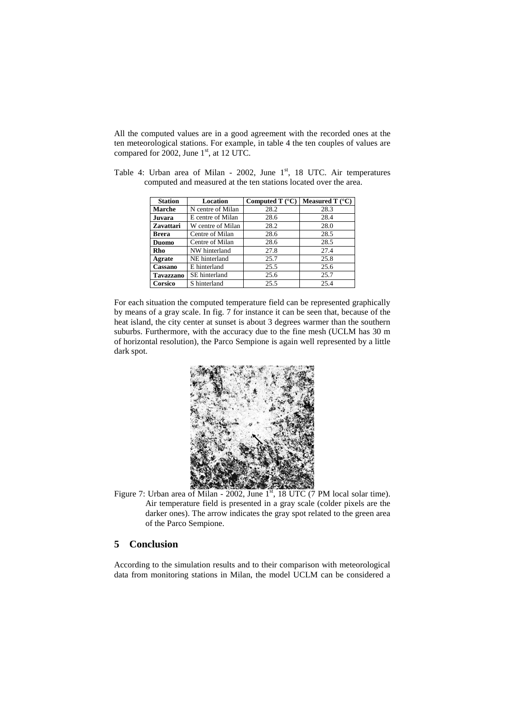All the computed values are in a good agreement with the recorded ones at the ten meteorological stations. For example, in table 4 the ten couples of values are compared for  $2002$ , June  $1<sup>st</sup>$ , at 12 UTC.

| <b>Station</b>   | Location          | Computed T $(^{\circ}C)$ | Measured T $(^{\circ}C)$ |  |  |
|------------------|-------------------|--------------------------|--------------------------|--|--|
| Marche           | N centre of Milan | 28.2                     | 28.3                     |  |  |
| Juvara           | E centre of Milan | 28.6                     | 28.4                     |  |  |
| <b>Zavattari</b> | W centre of Milan | 28.2                     | 28.0                     |  |  |
| <b>Brera</b>     | Centre of Milan   | 28.6                     | 28.5                     |  |  |
| <b>Duomo</b>     | Centre of Milan   | 28.6                     | 28.5                     |  |  |
| Rho              | NW hinterland     | 27.8                     | 27.4                     |  |  |
| Agrate           | NE hinterland     | 25.7                     | 25.8                     |  |  |
| Cassano          | E hinterland      | 25.5                     | 25.6                     |  |  |
| <b>Tavazzano</b> | SE hinterland     | 25.6                     | 25.7                     |  |  |
| Corsico          | S hinterland      | 25.5                     | 25.4                     |  |  |

Table 4: Urban area of Milan - 2002, June 1<sup>st</sup>, 18 UTC. Air temperatures computed and measured at the ten stations located over the area.

For each situation the computed temperature field can be represented graphically by means of a gray scale. In fig. 7 for instance it can be seen that, because of the heat island, the city center at sunset is about 3 degrees warmer than the southern suburbs. Furthermore, with the accuracy due to the fine mesh (UCLM has 30 m of horizontal resolution), the Parco Sempione is again well represented by a little dark spot.



Figure 7: Urban area of Milan - 2002, June  $1<sup>st</sup>$ , 18 UTC (7 PM local solar time). Air temperature field is presented in a gray scale (colder pixels are the darker ones). The arrow indicates the gray spot related to the green area of the Parco Sempione.

## **5 Conclusion**

According to the simulation results and to their comparison with meteorological data from monitoring stations in Milan, the model UCLM can be considered a